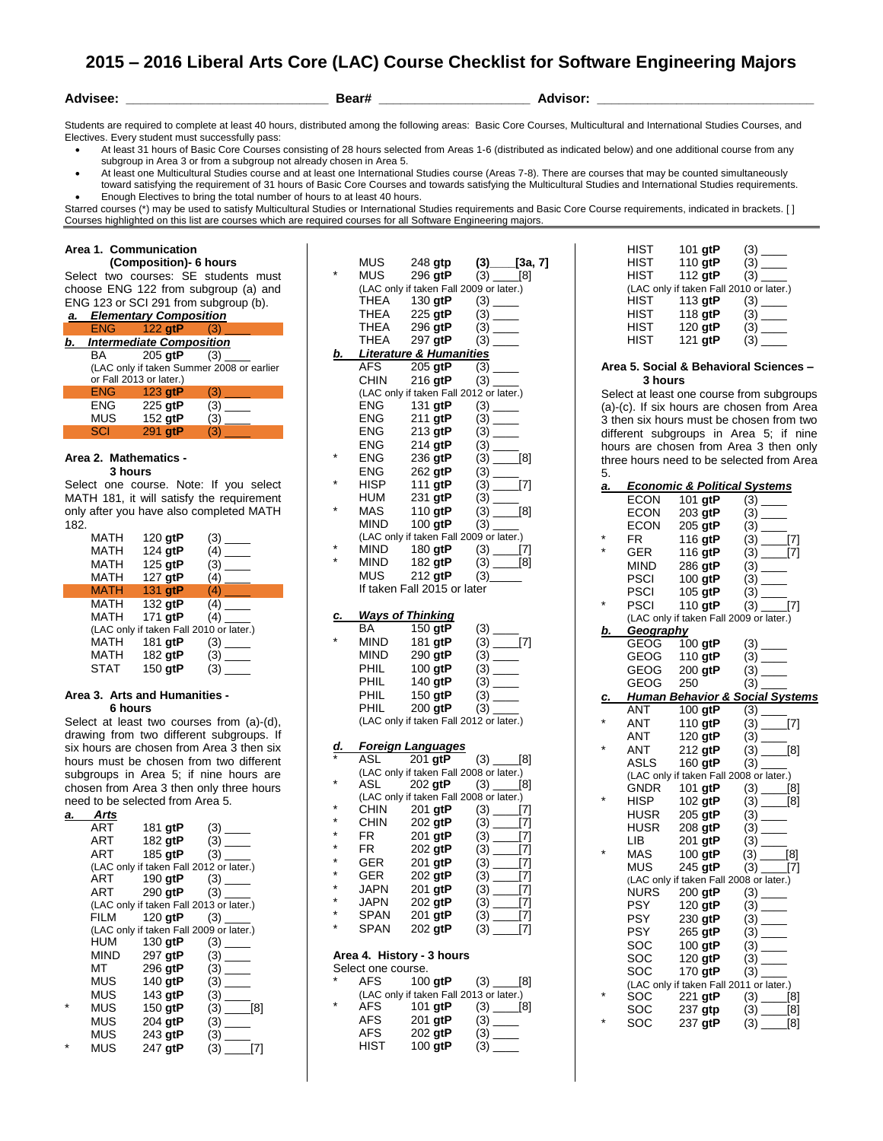# **2015 – 2016 Liberal Arts Core (LAC) Course Checklist for Software Engineering Majors**

**Advisee: \_\_\_\_\_\_\_\_\_\_\_\_\_\_\_\_\_\_\_\_\_\_\_\_\_\_\_\_ Bear# \_\_\_\_\_\_\_\_\_\_\_\_\_\_\_\_\_\_\_\_\_ Advisor: \_\_\_\_\_\_\_\_\_\_\_\_\_\_\_\_\_\_\_\_\_\_\_\_\_\_\_\_\_\_**

Students are required to complete at least 40 hours, distributed among the following areas: Basic Core Courses, Multicultural and International Studies Courses, and Electives. Every student must successfully pass:

- At least 31 hours of Basic Core Courses consisting of 28 hours selected from Areas 1-6 (distributed as indicated below) and one additional course from any subgroup in Area 3 or from a subgroup not already chosen in Area 5.
- At least one Multicultural Studies course and at least one International Studies course (Areas 7-8). There are courses that may be counted simultaneously toward satisfying the requirement of 31 hours of Basic Core Courses and towards satisfying the Multicultural Studies and International Studies requirements. Enough Electives to bring the total number of hours to at least 40 hours.

Starred courses (\*) may be used to satisfy Multicultural Studies or International Studies requirements and Basic Core Course requirements, indicated in brackets. [ ] Courses highlighted on this list are courses which are required courses for all Software Engineering majors.

## **Area 1. Communication**

 **(Composition)- 6 hours** Select two courses: SE students must choose ENG 122 from subgroup (a) and ENG 123 or SCI 291 from subgroup (b).

| a. | <b>Elementary Composition</b> |                                 |                                           |
|----|-------------------------------|---------------------------------|-------------------------------------------|
|    | <b>ENG</b>                    | 122 gtP                         |                                           |
| b. |                               | <b>Intermediate Composition</b> |                                           |
|    | BA.                           | 205 gtP                         | (3)                                       |
|    |                               |                                 | (LAC only if taken Summer 2008 or earlier |
|    |                               | or Fall 2013 or later.)         |                                           |
|    | <b>ENG</b>                    | 123 gtP                         | 8Y                                        |
|    | ENG                           | 225 gtP                         | (3)                                       |
|    | MUS                           | 152 gtP                         | (3)                                       |
|    | SCI                           | 291 atP                         |                                           |

# **Area 2. Mathematics -**

 **3 hours** 

Select one course. Note: If you select MATH 181, it will satisfy the requirement only after you have also completed MATH 182.

| MATH        | 120 gtP | (3)                                     |
|-------------|---------|-----------------------------------------|
| MATH        | 124 gtP | (4)                                     |
| MATH        | 125 gtP | (3)                                     |
| <b>MATH</b> | 127 gtP | $(4)$ —                                 |
| <b>MATH</b> | 131 gtP | (4)                                     |
| MATH        | 132 gtP | (4)                                     |
| MATH        | 171 gtP | (4)                                     |
|             |         | (LAC only if taken Fall 2010 or later.) |
| MATH        | 181 gtP |                                         |
| MATH        | 182 gtP |                                         |
| STAT        | 150 atP | (3)                                     |

### **Area 3. Arts and Humanities - 6 hours**

Select at least two courses from (a)-(d), drawing from two different subgroups. If six hours are chosen from Area 3 then six hours must be chosen from two different subgroups in Area 5; if nine hours are chosen from Area 3 then only three hours need to be selected from Area 5.

| a. | Arts       |                |                                         |
|----|------------|----------------|-----------------------------------------|
|    | ART        | 181 gtP        | (3)<br>$\sim$                           |
|    | ART        | 182 gtP        | (3)                                     |
|    | ART        | 185 <b>gtP</b> | (3)                                     |
|    |            |                | (LAC only if taken Fall 2012 or later.) |
|    | ART        | 190 <b>gtP</b> |                                         |
|    | ART        | 290 <b>gtP</b> | (3)                                     |
|    |            |                | (LAC only if taken Fall 2013 or later.) |
|    | FILM       | 120 gtP        | (3)                                     |
|    |            |                | (LAC only if taken Fall 2009 or later.) |
|    | <b>HUM</b> | 130 <b>gtP</b> | (3)                                     |
|    | MIND       | 297 gtP        | (3)                                     |
|    | МΤ         | 296 gtP        |                                         |
|    | MUS        | 140 $qtP$      |                                         |
|    | MUS        | 143 gtP        | (3)                                     |
|    | MUS        | 150 gtP        | (3)<br>[8]                              |
|    | MUS        | 204 gtP        | (3)                                     |
|    | MUS        | 243 gtP        | (3)                                     |
|    | MUS        | 247 gtP        | (3)                                     |

|           | MUS                | 248 gtp (3) [3a, 7]<br>296 gtP (3) [8]               |                                     |     |
|-----------|--------------------|------------------------------------------------------|-------------------------------------|-----|
|           | <b>MUS</b>         |                                                      |                                     |     |
|           |                    | (LAC only if taken Fall 2009 or later.)              |                                     |     |
|           | THEA               | 130 <b>gtP</b>                                       |                                     |     |
|           | THEA               | 225 gtP                                              |                                     |     |
|           | THEA               | 296 gtP                                              | $(3)$ —                             |     |
|           | THEA               | 297 gtP                                              | $(3)$ —                             |     |
| b.        |                    | <b>Literature &amp; Humanities</b>                   |                                     |     |
|           |                    | $AFS$ $205$ gtP $(3)$ _____                          |                                     |     |
|           | <b>CHIN</b>        | $216$ gtP<br>(LAC only if taken Fall 2012 or later.) |                                     |     |
|           | ENG                | 131 gtP                                              | $(3)$ —                             |     |
|           | ENG                | 211 gtP                                              | $(3)$ —                             |     |
|           | ENG                | 213 gtP                                              |                                     |     |
|           | ENG                | 214 gtP                                              |                                     |     |
|           | ENG                | $236$ gtP                                            | $(3)$ [8]                           |     |
|           | ENG                | 262 gtP                                              |                                     |     |
|           | <b>HISP</b>        | $111$ gtP                                            | $\frac{1}{2}$ (3) $\frac{1}{2}$ [7] |     |
|           | HUM                | 231 gtP                                              |                                     |     |
|           | MAS                | 110 $g$ t $P$                                        | $(3)$ [8]                           |     |
|           | MIND               | $100$ gtP                                            |                                     |     |
|           |                    | (LAC only if taken Fall 2009 or later.)              |                                     |     |
|           | MIND               | 180 gtP (3) $[7]$<br>182 gtP (3) $[8]$               |                                     |     |
|           | MIND               |                                                      |                                     |     |
|           | MUS                | 212 gtP                                              | $(3)$ <sub>______</sub>             |     |
|           |                    | If taken Fall 2015 or later                          |                                     |     |
|           |                    |                                                      |                                     |     |
| c.        |                    | <b>Ways of Thinking</b>                              |                                     |     |
|           | BA                 | 150 gtP                                              | $(3)$ —                             |     |
|           | MIND               | 181 gtP                                              | $(3)$ [7]                           |     |
|           | MIND               | 290 gtP                                              |                                     |     |
|           | PHIL<br>PHIL       | 100 gtP<br>140 gtP                                   | $(3)$ —                             |     |
|           | PHIL               | 150 gtP                                              | $(3)$ —                             |     |
|           | PHIL               | 200 gtP                                              |                                     |     |
|           |                    | (LAC only if taken Fall 2012 or later.)              |                                     |     |
|           |                    |                                                      |                                     |     |
| <u>d.</u> |                    | <b>Foreign Languages</b>                             |                                     |     |
|           | ASL                | $\frac{201 \text{ gtP}}{201 \text{ gtP}}$ (3) [8]    |                                     |     |
|           |                    | (LAC only if taken Fall 2008 or later.)              |                                     |     |
|           | ASL                | 202 gtP                                              | $(3)$ [8]                           |     |
|           |                    | (LAC only if taken Fall 2008 or later.)              |                                     |     |
|           | CHIN<br>CHIN       | 201 gtP<br>202 gtP                                   | $(3)$ [7]<br>$(3)$ [7]              |     |
|           | FR                 | 201 gtP                                              |                                     |     |
|           | <b>FR</b>          | 202 gtP                                              | $(3)$ [7]                           |     |
|           |                    | 201 gtP                                              |                                     |     |
|           | GER<br>GER         | 202 gtP                                              | $(3)$ $[7]$                         |     |
| ×         | JAPN               | 201 gtP                                              |                                     |     |
| ×         | <b>JAPN</b>        | 202 gtP                                              |                                     |     |
|           | SPAN               | 201 gtP                                              | $(3)$ [7]<br>(3) [7]                |     |
| ÷         | SPAN               | 202 gtP                                              |                                     | [7] |
|           |                    |                                                      |                                     |     |
|           |                    | Area 4. History - 3 hours                            |                                     |     |
|           | Select one course. |                                                      |                                     |     |
|           | AFS                | $100$ gtP                                            | $(3)$ [8]                           |     |
|           |                    | (LAC only if taken Fall 2013 or later.)              |                                     |     |
|           | AFS                | 101 gtP                                              | $(3)$ [8]                           |     |
|           | <b>AFS</b>         | 201 gtP                                              |                                     |     |
|           | <b>AFS</b>         | 202 gtP                                              |                                     |     |
|           | HIST               | 100 $gtP$                                            | (3)                                 |     |

| HIST        | 101 gtP                                 |     |
|-------------|-----------------------------------------|-----|
| <b>HIST</b> | 110 gtP                                 |     |
| <b>HIST</b> | 112 $qtP$                               | (3) |
|             | (LAC only if taken Fall 2010 or later.) |     |
| <b>HIST</b> | 113 gtP                                 |     |
| <b>HIST</b> | 118 gtP                                 |     |
| <b>HIST</b> | $120$ gtP                               |     |
| <b>HIST</b> | 121 gtP                                 | (3) |
|             |                                         |     |

#### **Area 5. Social & Behavioral Sciences – 3 hours**

Select at least one course from subgroups (a)-(c). If six hours are chosen from Area 3 then six hours must be chosen from two different subgroups in Area 5; if nine hours are chosen from Area 3 then only three hours need to be selected from Area 5.

| а.        |             | <b>Economic &amp; Political Systems</b> |                                                                            |
|-----------|-------------|-----------------------------------------|----------------------------------------------------------------------------|
|           | <b>ECON</b> | 101 gtP                                 |                                                                            |
|           | <b>ECON</b> | 203 gtP                                 |                                                                            |
|           |             | $ECON$ 205 gtP                          |                                                                            |
|           | FR.         | 116 gtP                                 | $(3)$ [7]                                                                  |
| $\star$   | <b>GER</b>  | 116 gtP                                 | $(3)$ [7]                                                                  |
|           | MIND        | 286 gtP                                 |                                                                            |
|           | PSCI        | 100 $\bar{g}$ tP                        | $(3)$ —                                                                    |
|           | <b>PSCI</b> | 105 gtP                                 |                                                                            |
| $\star$   | <b>PSCI</b> | 110 gtP                                 | $(3)$ [7]                                                                  |
|           |             | (LAC only if taken Fall 2009 or later.) |                                                                            |
| b.        | Geography   |                                         |                                                                            |
|           |             | GEOG 100 gtP                            |                                                                            |
|           |             | $GEOG = 110$ gtP                        |                                                                            |
|           | GEOG        | 200 gtP                                 |                                                                            |
|           |             | GEOG 250                                |                                                                            |
| <u>c.</u> |             |                                         | <b>Human Behavior &amp; Social Systems</b>                                 |
|           | ANT         | 100 $g$ t $P$                           |                                                                            |
| ¥         | ANT         | 110 $gtP$                               | $(3)$ [7]                                                                  |
|           | ANT         | 120 gtP                                 |                                                                            |
|           |             |                                         | ANT 212 gtP $(3)$ [8]                                                      |
|           | ASLS        | 160 gtP                                 |                                                                            |
|           |             | (LAC only if taken Fall 2008 or later.) |                                                                            |
|           | GNDR        |                                         | 101 gtP $(3)$ [8]                                                          |
|           | HISP        |                                         | 102 gtP $(3)$ [8]                                                          |
|           | HUSR        |                                         | $205 \text{ gtP}$ (3) ______                                               |
|           | HUSR        | $208$ gtP                               |                                                                            |
|           | LIB         | 201 gtP                                 |                                                                            |
|           | MAS         | $100$ gtP                               | $(3)$ [8]                                                                  |
|           | <b>MUS</b>  | 245 gtP                                 | $(3)$ <sub>(3)</sub> [7]                                                   |
|           |             | (LAC only if taken Fall 2008 or later.) |                                                                            |
|           | NURS        |                                         |                                                                            |
|           | <b>PSY</b>  | 120 gtP                                 |                                                                            |
|           | <b>PSY</b>  |                                         |                                                                            |
|           | <b>PSY</b>  | 265 gtP                                 |                                                                            |
|           | SOC         | 100 gtP                                 |                                                                            |
|           | SOC         | 120 gtP                                 | $(3)$ <sub>____</sub>                                                      |
|           | SOC         | $170$ gtP                               | $(3)$ —                                                                    |
|           |             | (LAC only if taken Fall 2011 or later.) |                                                                            |
|           | SOC         |                                         |                                                                            |
|           | <b>SOC</b>  |                                         | 221 <b>gtP</b> (3) [8]<br>237 <b>gtp</b> (3) [8]<br>237 <b>gtP</b> (3) [8] |
|           | SOC         |                                         |                                                                            |